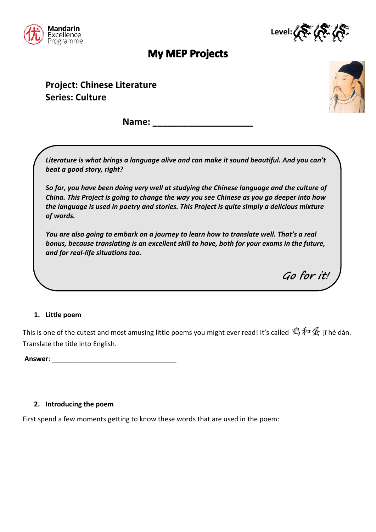



**Go for it!**

# **My MEP Projects**

**Project: Chinese Literature Series: Culture**



**Name: \_\_\_\_\_\_\_\_\_\_\_\_\_\_\_\_\_\_\_\_**

*Literature is what brings a language alive and can make it sound beautiful. And you can't beat a good story, right?* 

*So far, you have been doing very well at studying the Chinese language and the culture of China. This Project is going to change the way you see Chinese as you go deeper into how the language is used in poetry and stories. This Project is quite simply a delicious mixture of words.*

*You are also going to embark on a journey to learn how to translate well. That's a real bonus, because translating is an excellent skill to have, both for your exams in the future, and for real-life situations too.*

### **1. Little poem**

This is one of the cutest and most amusing little poems you might ever read! It's called 鸡和蛋 jī hé dàn. Translate the title into English.

**Answer**: \_\_\_\_\_\_\_\_\_\_\_\_\_\_\_\_\_\_\_\_\_\_\_\_\_\_\_\_\_\_\_\_\_

### **2. Introducing the poem**

First spend a few moments getting to know these words that are used in the poem: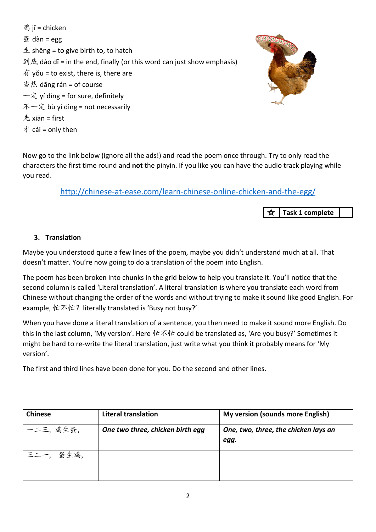鸡  $\bar{\mathbb{I}}$  = chicken  $$\frac{\pi}{2}$  dàn = egg$  $±$  shēng = to give birth to, to hatch 到底 dào dǐ = in the end, finally (or this word can just show emphasis) 有 yǒu = to exist, there is, there are 当然 dāng rán = of course 一定 yí dìng = for sure, definitely 不一定 bù yí dìng = not necessarily 先 xiān = first 才 cái = only then



Now go to the link below (ignore all the ads!) and read the poem once through. Try to only read the characters the first time round and **not** the pinyin. If you like you can have the audio track playing while you read.

## <http://chinese-at-ease.com/learn-chinese-online-chicken-and-the-egg/>

**Task 1 complete**☆

### **3. Translation**

Maybe you understood quite a few lines of the poem, maybe you didn't understand much at all. That doesn't matter. You're now going to do a translation of the poem into English.

The poem has been broken into chunks in the grid below to help you translate it. You'll notice that the second column is called 'Literal translation'. A literal translation is where you translate each word from Chinese without changing the order of the words and without trying to make it sound like good English. For example, 忙不忙? literally translated is 'Busy not busy?'

When you have done a literal translation of a sentence, you then need to make it sound more English. Do this in the last column, 'My version'. Here 忙不忙 could be translated as, 'Are you busy?' Sometimes it might be hard to re-write the literal translation, just write what you think it probably means for 'My version'.

The first and third lines have been done for you. Do the second and other lines.

| <b>Chinese</b> | <b>Literal translation</b>       | My version (sounds more English)             |
|----------------|----------------------------------|----------------------------------------------|
| 一二三,鸡生蛋,       | One two three, chicken birth egg | One, two, three, the chicken lays an<br>egg. |
| 蛋生鸡,<br>三二一.   |                                  |                                              |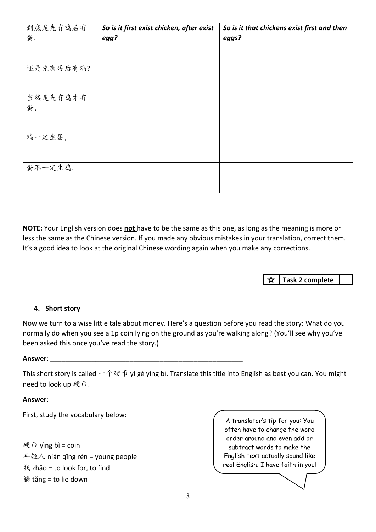| 到底是先有鸡后有  | So is it first exist chicken, after exist | So is it that chickens exist first and then |
|-----------|-------------------------------------------|---------------------------------------------|
| 蛋,        | egg?                                      | eggs?                                       |
|           |                                           |                                             |
|           |                                           |                                             |
| 还是先有蛋后有鸡? |                                           |                                             |
|           |                                           |                                             |
|           |                                           |                                             |
| 当然是先有鸡才有  |                                           |                                             |
| 蛋,        |                                           |                                             |
|           |                                           |                                             |
|           |                                           |                                             |
| 鸡一定生蛋,    |                                           |                                             |
|           |                                           |                                             |
|           |                                           |                                             |
| 蛋不一定生鸡.   |                                           |                                             |
|           |                                           |                                             |
|           |                                           |                                             |

**NOTE:** Your English version does **not** have to be the same as this one, as long as the meaning is more or less the same as the Chinese version. If you made any obvious mistakes in your translation, correct them. It's a good idea to look at the original Chinese wording again when you make any corrections.

> ☆ **Task 2 complete**

#### **4. Short story**

Now we turn to a wise little tale about money. Here's a question before you read the story: What do you normally do when you see a 1p coin lying on the ground as you're walking along? (You'll see why you've been asked this once you've read the story.)

#### **Answer**: \_\_\_\_\_\_\_\_\_\_\_\_\_\_\_\_\_\_\_\_\_\_\_\_\_\_\_\_\_\_\_\_\_\_\_\_\_\_\_\_\_\_\_\_\_\_\_\_\_\_\_

This short story is called 一个硬币 yí gè yìng bì. Translate this title into English as best you can. You might need to look up 硬币.

**Answer**: \_\_\_\_\_\_\_\_\_\_\_\_\_\_\_\_\_\_\_\_\_\_\_\_\_\_\_\_\_\_\_

First, study the vocabulary below:

硬币 yìng bì = coin 年轻人 nián qīng rén = young people 找 zhǎo = to look for, to find 躺 tǎng = to lie down

A translator's tip for you: You often have to change the word order around and even add or subtract words to make the English text actually sound like real English. I have faith in you!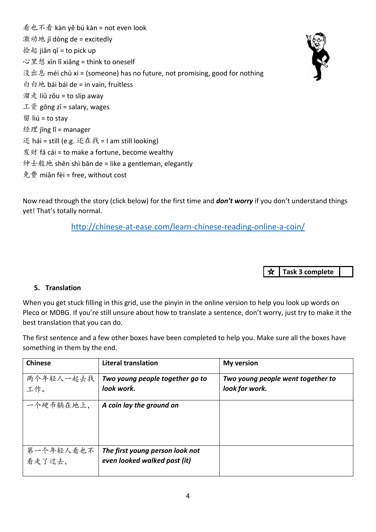看也不看 kàn yě bú kàn = not even look 激动地 jī dòng de = excitedly 捡起 jiǎn qǐ = to pick up 心里想 xīn lǐ xiǎng = think to oneself 没出息 méi chū xi = (someone) has no future, not promising, good for nothing 白白地 bái bái de = in vain, fruitless 溜走 liū zǒu = to slip away 工资 gōng zī = salary, wages 留 liú = to stav 经理 jīng lǐ = manager 还 hái = still (e.g. 还在找 = I am still looking) 发财 fā cái = to make a fortune, become wealthy  $\frac{4}{3}$   $\pm$   $\frac{4}{3}$   $\frac{1}{3}$  shēn shì bān de = like a gentleman, elegantly 免费 miǎn fèi = free, without cost

Now read through the story (click below) for the first time and *don't worry* if you don't understand things yet! That's totally normal.

<http://chinese-at-ease.com/learn-chinese-reading-online-a-coin/>

**Task 3 complete**

### **5. Translation**

When you get stuck filling in this grid, use the pinyin in the online version to help you look up words on Pleco or MDBG. If you're still unsure about how to translate a sentence, don't worry, just try to make it the best translation that you can do.

The first sentence and a few other boxes have been completed to help you. Make sure all the boxes have something in them by the end.

| <b>Chinese</b> | <b>Literal translation</b>      | <b>My version</b>                 |
|----------------|---------------------------------|-----------------------------------|
| 两个年轻人一起去找      | Two young people together go to | Two young people went together to |
| ,十一<br>【作。     | look work.                      | look for work.                    |
| 一个硬币躺在地上,      | A coin lay the ground on        |                                   |
|                |                                 |                                   |
|                |                                 |                                   |
| 第一个年轻人看也不      | The first young person look not |                                   |
| 看走了过去,         | even looked walked past (it)    |                                   |
|                |                                 |                                   |

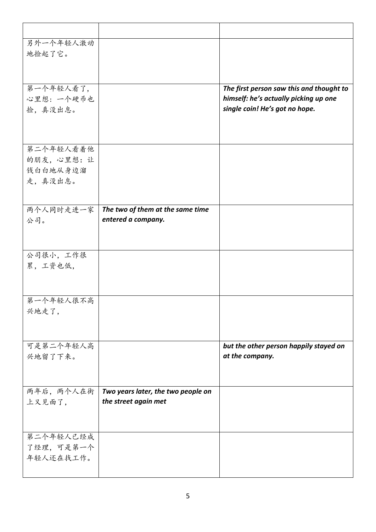| 另外一个年轻人激动  |                                    |                                          |
|------------|------------------------------------|------------------------------------------|
| 地捡起了它。     |                                    |                                          |
|            |                                    |                                          |
|            |                                    |                                          |
| 第一个年轻人看了,  |                                    | The first person saw this and thought to |
| 心里想: 一个硬币也 |                                    | himself: he's actually picking up one    |
| 捡,真没出息。    |                                    | single coin! He's got no hope.           |
|            |                                    |                                          |
|            |                                    |                                          |
|            |                                    |                                          |
| 第二个年轻人看着他  |                                    |                                          |
| 的朋友,心里想:让  |                                    |                                          |
| 钱白白地从身边溜   |                                    |                                          |
| 走,真没出息。    |                                    |                                          |
|            |                                    |                                          |
|            |                                    |                                          |
| 两个人同时走进一家  | The two of them at the same time   |                                          |
| 公司。        | entered a company.                 |                                          |
|            |                                    |                                          |
|            |                                    |                                          |
| 公司很小,工作很   |                                    |                                          |
| 累,工资也低,    |                                    |                                          |
|            |                                    |                                          |
|            |                                    |                                          |
| 第一个年轻人很不高  |                                    |                                          |
| 兴地走了,      |                                    |                                          |
|            |                                    |                                          |
|            |                                    |                                          |
| 可是第二个年轻人高  |                                    | but the other person happily stayed on   |
| 兴地留了下来。    |                                    | at the company.                          |
|            |                                    |                                          |
|            |                                    |                                          |
| 两年后, 两个人在街 | Two years later, the two people on |                                          |
| 上又见面了,     | the street again met               |                                          |
|            |                                    |                                          |
|            |                                    |                                          |
|            |                                    |                                          |
| 第二个年轻人已经成  |                                    |                                          |
| 了经理,可是第一个  |                                    |                                          |
| 年轻人还在找工作。  |                                    |                                          |
|            |                                    |                                          |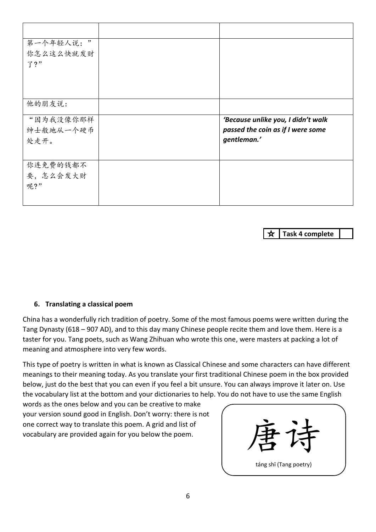| 第一个年轻人说:"                                              |                                                                                        |
|--------------------------------------------------------|----------------------------------------------------------------------------------------|
| 你怎么这么快就发财                                              |                                                                                        |
| 了?"                                                    |                                                                                        |
|                                                        |                                                                                        |
|                                                        |                                                                                        |
|                                                        |                                                                                        |
| 他的朋友说:                                                 |                                                                                        |
|                                                        |                                                                                        |
|                                                        |                                                                                        |
|                                                        |                                                                                        |
|                                                        |                                                                                        |
|                                                        |                                                                                        |
|                                                        |                                                                                        |
|                                                        |                                                                                        |
| 呢?"                                                    |                                                                                        |
|                                                        |                                                                                        |
| "因为我没像你那样<br>绅士般地从一个硬币<br>处走开。<br>你连免费的钱都不<br>要,怎么会发大财 | 'Because unlike you, I didn't walk<br>passed the coin as if I were some<br>gentleman.' |

☆ **Task 4 complete**

### **6. Translating a classical poem**

China has a wonderfully rich tradition of poetry. Some of the most famous poems were written during the Tang Dynasty (618 – 907 AD), and to this day many Chinese people recite them and love them. Here is a taster for you. Tang poets, such as Wang Zhihuan who wrote this one, were masters at packing a lot of meaning and atmosphere into very few words.

This type of poetry is written in what is known as Classical Chinese and some characters can have different meanings to their meaning today. As you translate your first traditional Chinese poem in the box provided below, just do the best that you can even if you feel a bit unsure. You can always improve it later on. Use the vocabulary list at the bottom and your dictionaries to help. You do not have to use the same English

words as the ones below and you can be creative to make your version sound good in English. Don't worry: there is not one correct way to translate this poem. A grid and list of vocabulary are provided again for you below the poem.

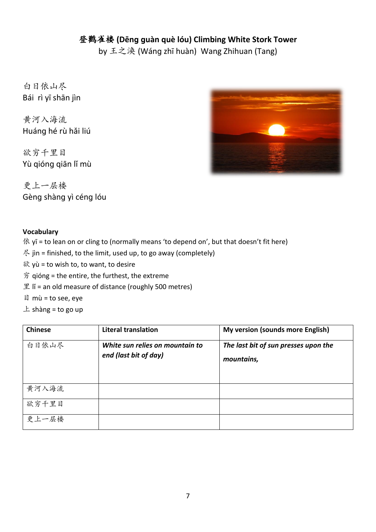### 登鹳雀楼 **(Dēnɡ ɡuàn què lóu) Climbing White Stork Tower**

by 王之涣 (Wánɡ zhī huàn) Wang Zhihuan (Tang)

白日依山尽 Bái rì yī shān jìn

黄河入海流 Huánɡ hé rù hǎi liú

欲穷千里目 Yù qióng qiān lǐ mù

更上一层楼 Gèng shàng yì céng lóu



### **Vocabulary**

- 依 yī = to lean on or cling to (normally means 'to depend on', but that doesn't fit here)
- $\mathcal{R}$  jin = finished, to the limit, used up, to go away (completely)
- 欲 yù = to wish to, to want, to desire
- 穷 qióng = the entire, the furthest, the extreme
- 里  $\parallel$  = an old measure of distance (roughly 500 metres)
- 目 mù = to see, eye
- $\pm$  shàng = to go up

| <b>Chinese</b> | <b>Literal translation</b>                               | <b>My version (sounds more English)</b>            |
|----------------|----------------------------------------------------------|----------------------------------------------------|
| 白日依山尽          | White sun relies on mountain to<br>end (last bit of day) | The last bit of sun presses upon the<br>mountains, |
|                |                                                          |                                                    |
| 黄河入海流          |                                                          |                                                    |
| 欲穷千里目          |                                                          |                                                    |
| 更上一层楼          |                                                          |                                                    |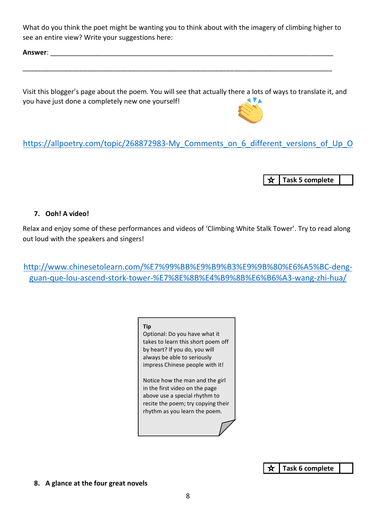What do you think the poet might be wanting you to think about with the imagery of climbing higher to see an entire view? Write your suggestions here:

\_\_\_\_\_\_\_\_\_\_\_\_\_\_\_\_\_\_\_\_\_\_\_\_\_\_\_\_\_\_\_\_\_\_\_\_\_\_\_\_\_\_\_\_\_\_\_\_\_\_\_\_\_\_\_\_\_\_\_\_\_\_\_\_\_\_\_\_\_\_\_\_\_\_\_\_\_\_\_\_\_\_

**Answer**: \_\_\_\_\_\_\_\_\_\_\_\_\_\_\_\_\_\_\_\_\_\_\_\_\_\_\_\_\_\_\_\_\_\_\_\_\_\_\_\_\_\_\_\_\_\_\_\_\_\_\_\_\_\_\_\_\_\_\_\_\_\_\_\_\_\_\_\_\_\_\_\_\_\_\_

Visit this blogger's page about the poem. You will see that actually there a lots of ways to translate it, and you have just done a completely new one yourself!



# https://allpoetry.com/topic/268872983-My Comments on 6 different versions of Up O

☆ **Task 5 complete**

### **7. Ooh! A video!**

Relax and enjoy some of these performances and videos of 'Climbing White Stalk Tower'. Try to read along out loud with the speakers and singers!

http://www.chinesetolearn.com/%E7%99%BB%E9%B9%B3%E9%9B%80%E6%A5%BC-dengguan-que-lou-ascend-stork-tower-%E7%8E%8B%E4%B9%8B%E6%B6%A3-wang-zhi-hua/

#### **Tip**

Optional: Do you have what it takes to learn this short poem off by heart? If you do, you will always be able to seriously impress Chinese people with it!

Notice how the man and the girl in the first video on the page above use a special rhythm to recite the poem; try copying their rhythm as you learn the poem.

> **Task 6 complete** ☆

**8. A glance at the four great novels**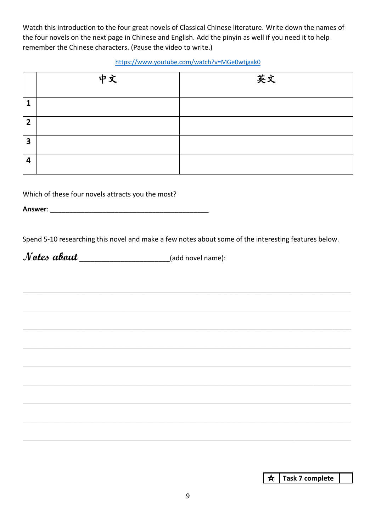Watch this introduction to the four great novels of Classical Chinese literature. Write down the names of the four novels on the next page in Chinese and English. Add the pinyin as well if you need it to help remember the Chinese characters. (Pause the video to write.)

#### <https://www.youtube.com/watch?v=MGe0wtjgak0>

|                         | 中文 | 英文 |
|-------------------------|----|----|
| $\mathbf{1}$            |    |    |
| $\overline{2}$          |    |    |
| $\overline{\mathbf{3}}$ |    |    |
| 4                       |    |    |

Which of these four novels attracts you the most?

**Answer**: \_\_\_\_\_\_\_\_\_\_\_\_\_\_\_\_\_\_\_\_\_\_\_\_\_\_\_\_\_\_\_\_\_\_\_\_\_\_\_\_\_\_

Spend 5-10 researching this novel and make a few notes about some of the interesting features below.

**Notes about** \_\_\_\_\_\_\_\_\_\_\_\_\_\_\_\_\_\_\_\_\_\_\_\_(add novel name):

 $\star$ **Task 7 complete**